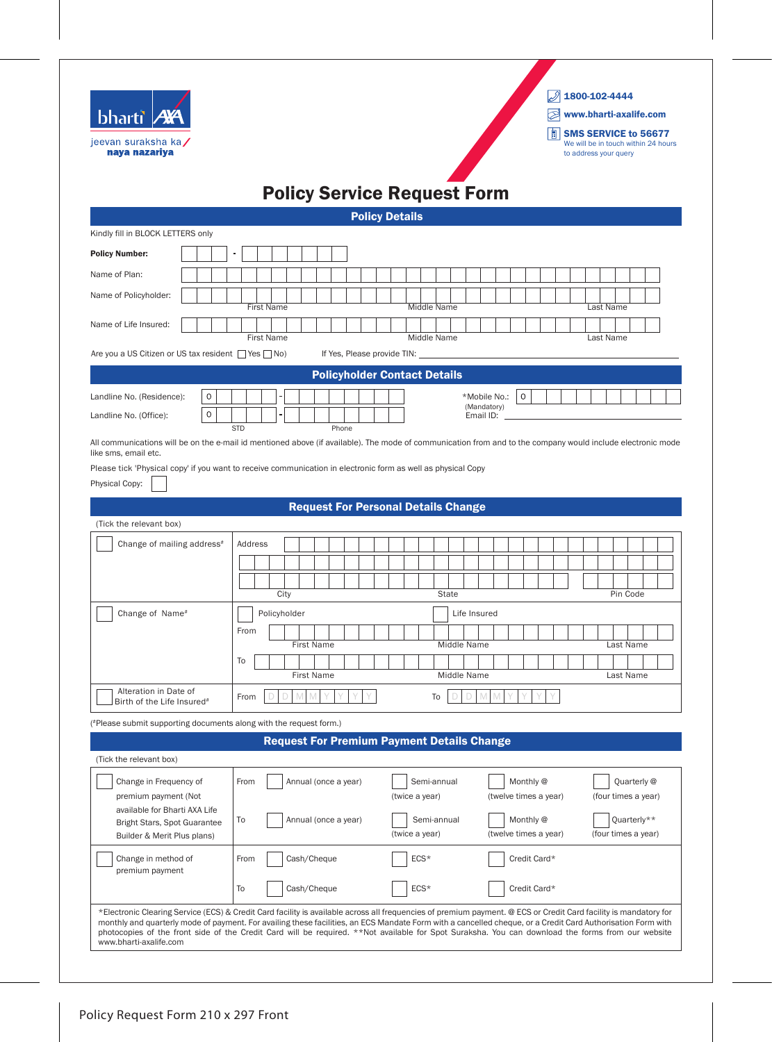| jeevan suraksha ka/<br>naya nazariya<br><b>Policy Service Request Form</b><br><b>Policy Details</b><br><b>First Name</b><br>Middle Name<br><b>First Name</b><br>Middle Name<br>If Yes, Please provide TIN: _<br><b>Policyholder Contact Details</b><br>$\mathbf 0$<br>$\mathbf{O}$<br>*Mobile No.:<br>(Mandatory)<br>$\mathbf 0$<br>Email ID:<br><b>STD</b><br>Phone<br><b>Request For Personal Details Change</b><br>(Tick the relevant box)<br>Change of mailing address <sup>#</sup><br>Address<br>City<br>State<br>Change of Name#<br>Policyholder<br>Life Insured<br>From<br><b>First Name</b><br>Middle Name<br>To<br><b>First Name</b><br>Middle Name<br>Alteration in Date of<br>M<br>D<br>M<br>$M$ $M$<br>D<br>D<br>D<br>From<br>To<br>Birth of the Life Insured <sup>#</sup><br><b>Request For Premium Payment Details Change</b><br>(Tick the relevant box)<br>Monthly @<br>Change in Frequency of<br>From<br>Annual (once a year)<br>Semi-annual<br>premium payment (Not<br>(twice a year)<br>(twelve times a year)<br>available for Bharti AXA Life<br>Monthly @<br>To<br>Annual (once a year)<br>Semi-annual<br>Bright Stars, Spot Guarantee<br>(twelve times a year)<br>(twice a year)<br>Builder & Merit Plus plans)<br>ECS*<br>Credit Card*<br>Change in method of<br>Cash/Cheque<br>From<br>premium payment | bharti A |  | $\oslash$ 1800-102-4444<br>$\otimes$<br>www.bharti-axalife.com<br><b>SMS SERVICE to 56677</b> |
|-------------------------------------------------------------------------------------------------------------------------------------------------------------------------------------------------------------------------------------------------------------------------------------------------------------------------------------------------------------------------------------------------------------------------------------------------------------------------------------------------------------------------------------------------------------------------------------------------------------------------------------------------------------------------------------------------------------------------------------------------------------------------------------------------------------------------------------------------------------------------------------------------------------------------------------------------------------------------------------------------------------------------------------------------------------------------------------------------------------------------------------------------------------------------------------------------------------------------------------------------------------------------------------------------------------------------------|----------|--|-----------------------------------------------------------------------------------------------|
|                                                                                                                                                                                                                                                                                                                                                                                                                                                                                                                                                                                                                                                                                                                                                                                                                                                                                                                                                                                                                                                                                                                                                                                                                                                                                                                               |          |  | We will be in touch within 24 hours<br>to address your query                                  |
|                                                                                                                                                                                                                                                                                                                                                                                                                                                                                                                                                                                                                                                                                                                                                                                                                                                                                                                                                                                                                                                                                                                                                                                                                                                                                                                               |          |  |                                                                                               |
| Kindly fill in BLOCK LETTERS only                                                                                                                                                                                                                                                                                                                                                                                                                                                                                                                                                                                                                                                                                                                                                                                                                                                                                                                                                                                                                                                                                                                                                                                                                                                                                             |          |  |                                                                                               |
| <b>Policy Number:</b><br>Name of Plan:<br>Name of Policyholder:<br>Name of Life Insured:<br>Are you a US Citizen or US tax resident □ Yes □ No)<br>Landline No. (Residence):<br>Landline No. (Office):<br>All communications will be on the e-mail id mentioned above (if available). The mode of communication from and to the company would include electronic mode<br>like sms, email etc.<br>Please tick 'Physical copy' if you want to receive communication in electronic form as well as physical Copy<br>Physical Copy:<br>(*Please submit supporting documents along with the request form.)                                                                                                                                                                                                                                                                                                                                                                                                                                                                                                                                                                                                                                                                                                                         |          |  |                                                                                               |
|                                                                                                                                                                                                                                                                                                                                                                                                                                                                                                                                                                                                                                                                                                                                                                                                                                                                                                                                                                                                                                                                                                                                                                                                                                                                                                                               |          |  |                                                                                               |
|                                                                                                                                                                                                                                                                                                                                                                                                                                                                                                                                                                                                                                                                                                                                                                                                                                                                                                                                                                                                                                                                                                                                                                                                                                                                                                                               |          |  |                                                                                               |
|                                                                                                                                                                                                                                                                                                                                                                                                                                                                                                                                                                                                                                                                                                                                                                                                                                                                                                                                                                                                                                                                                                                                                                                                                                                                                                                               |          |  | Last Name                                                                                     |
|                                                                                                                                                                                                                                                                                                                                                                                                                                                                                                                                                                                                                                                                                                                                                                                                                                                                                                                                                                                                                                                                                                                                                                                                                                                                                                                               |          |  | Last Name                                                                                     |
|                                                                                                                                                                                                                                                                                                                                                                                                                                                                                                                                                                                                                                                                                                                                                                                                                                                                                                                                                                                                                                                                                                                                                                                                                                                                                                                               |          |  |                                                                                               |
|                                                                                                                                                                                                                                                                                                                                                                                                                                                                                                                                                                                                                                                                                                                                                                                                                                                                                                                                                                                                                                                                                                                                                                                                                                                                                                                               |          |  |                                                                                               |
|                                                                                                                                                                                                                                                                                                                                                                                                                                                                                                                                                                                                                                                                                                                                                                                                                                                                                                                                                                                                                                                                                                                                                                                                                                                                                                                               |          |  |                                                                                               |
|                                                                                                                                                                                                                                                                                                                                                                                                                                                                                                                                                                                                                                                                                                                                                                                                                                                                                                                                                                                                                                                                                                                                                                                                                                                                                                                               |          |  |                                                                                               |
|                                                                                                                                                                                                                                                                                                                                                                                                                                                                                                                                                                                                                                                                                                                                                                                                                                                                                                                                                                                                                                                                                                                                                                                                                                                                                                                               |          |  |                                                                                               |
|                                                                                                                                                                                                                                                                                                                                                                                                                                                                                                                                                                                                                                                                                                                                                                                                                                                                                                                                                                                                                                                                                                                                                                                                                                                                                                                               |          |  |                                                                                               |
|                                                                                                                                                                                                                                                                                                                                                                                                                                                                                                                                                                                                                                                                                                                                                                                                                                                                                                                                                                                                                                                                                                                                                                                                                                                                                                                               |          |  |                                                                                               |
|                                                                                                                                                                                                                                                                                                                                                                                                                                                                                                                                                                                                                                                                                                                                                                                                                                                                                                                                                                                                                                                                                                                                                                                                                                                                                                                               |          |  |                                                                                               |
|                                                                                                                                                                                                                                                                                                                                                                                                                                                                                                                                                                                                                                                                                                                                                                                                                                                                                                                                                                                                                                                                                                                                                                                                                                                                                                                               |          |  | Pin Code                                                                                      |
|                                                                                                                                                                                                                                                                                                                                                                                                                                                                                                                                                                                                                                                                                                                                                                                                                                                                                                                                                                                                                                                                                                                                                                                                                                                                                                                               |          |  |                                                                                               |
|                                                                                                                                                                                                                                                                                                                                                                                                                                                                                                                                                                                                                                                                                                                                                                                                                                                                                                                                                                                                                                                                                                                                                                                                                                                                                                                               |          |  | Last Name                                                                                     |
|                                                                                                                                                                                                                                                                                                                                                                                                                                                                                                                                                                                                                                                                                                                                                                                                                                                                                                                                                                                                                                                                                                                                                                                                                                                                                                                               |          |  | Last Name                                                                                     |
|                                                                                                                                                                                                                                                                                                                                                                                                                                                                                                                                                                                                                                                                                                                                                                                                                                                                                                                                                                                                                                                                                                                                                                                                                                                                                                                               |          |  |                                                                                               |
|                                                                                                                                                                                                                                                                                                                                                                                                                                                                                                                                                                                                                                                                                                                                                                                                                                                                                                                                                                                                                                                                                                                                                                                                                                                                                                                               |          |  |                                                                                               |
|                                                                                                                                                                                                                                                                                                                                                                                                                                                                                                                                                                                                                                                                                                                                                                                                                                                                                                                                                                                                                                                                                                                                                                                                                                                                                                                               |          |  |                                                                                               |
|                                                                                                                                                                                                                                                                                                                                                                                                                                                                                                                                                                                                                                                                                                                                                                                                                                                                                                                                                                                                                                                                                                                                                                                                                                                                                                                               |          |  | Quarterly @                                                                                   |
|                                                                                                                                                                                                                                                                                                                                                                                                                                                                                                                                                                                                                                                                                                                                                                                                                                                                                                                                                                                                                                                                                                                                                                                                                                                                                                                               |          |  | (four times a year)                                                                           |
|                                                                                                                                                                                                                                                                                                                                                                                                                                                                                                                                                                                                                                                                                                                                                                                                                                                                                                                                                                                                                                                                                                                                                                                                                                                                                                                               |          |  | Quarterly**<br>(four times a year)                                                            |
| Cash/Cheque<br>ECS*<br>Credit Card*<br>To                                                                                                                                                                                                                                                                                                                                                                                                                                                                                                                                                                                                                                                                                                                                                                                                                                                                                                                                                                                                                                                                                                                                                                                                                                                                                     |          |  |                                                                                               |